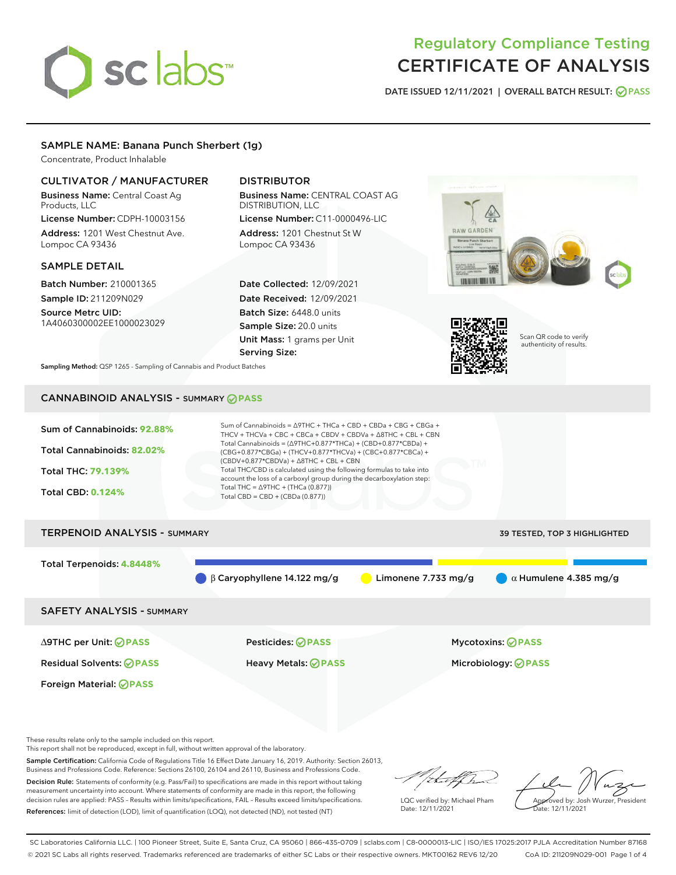# sclabs<sup>\*</sup>

# Regulatory Compliance Testing CERTIFICATE OF ANALYSIS

DATE ISSUED 12/11/2021 | OVERALL BATCH RESULT: @ PASS

# SAMPLE NAME: Banana Punch Sherbert (1g)

Concentrate, Product Inhalable

# CULTIVATOR / MANUFACTURER

Business Name: Central Coast Ag Products, LLC

License Number: CDPH-10003156 Address: 1201 West Chestnut Ave. Lompoc CA 93436

#### SAMPLE DETAIL

Batch Number: 210001365 Sample ID: 211209N029

Source Metrc UID: 1A4060300002EE1000023029

# DISTRIBUTOR

Business Name: CENTRAL COAST AG DISTRIBUTION, LLC License Number: C11-0000496-LIC

Address: 1201 Chestnut St W Lompoc CA 93436

Date Collected: 12/09/2021 Date Received: 12/09/2021 Batch Size: 6448.0 units Sample Size: 20.0 units Unit Mass: 1 grams per Unit Serving Size:





Scan QR code to verify authenticity of results.

Sampling Method: QSP 1265 - Sampling of Cannabis and Product Batches

# CANNABINOID ANALYSIS - SUMMARY **PASS**



Foreign Material: **PASS**

∆9THC per Unit: **PASS** Pesticides: **PASS** Mycotoxins: **PASS**

Residual Solvents: **PASS** Heavy Metals: **PASS** Microbiology: **PASS**

These results relate only to the sample included on this report.

This report shall not be reproduced, except in full, without written approval of the laboratory.

Sample Certification: California Code of Regulations Title 16 Effect Date January 16, 2019. Authority: Section 26013, Business and Professions Code. Reference: Sections 26100, 26104 and 26110, Business and Professions Code. Decision Rule: Statements of conformity (e.g. Pass/Fail) to specifications are made in this report without taking

measurement uncertainty into account. Where statements of conformity are made in this report, the following decision rules are applied: PASS – Results within limits/specifications, FAIL – Results exceed limits/specifications. References: limit of detection (LOD), limit of quantification (LOQ), not detected (ND), not tested (NT)

that f(ha

LQC verified by: Michael Pham Date: 12/11/2021

Approved by: Josh Wurzer, President ate: 12/11/2021

SC Laboratories California LLC. | 100 Pioneer Street, Suite E, Santa Cruz, CA 95060 | 866-435-0709 | sclabs.com | C8-0000013-LIC | ISO/IES 17025:2017 PJLA Accreditation Number 87168 © 2021 SC Labs all rights reserved. Trademarks referenced are trademarks of either SC Labs or their respective owners. MKT00162 REV6 12/20 CoA ID: 211209N029-001 Page 1 of 4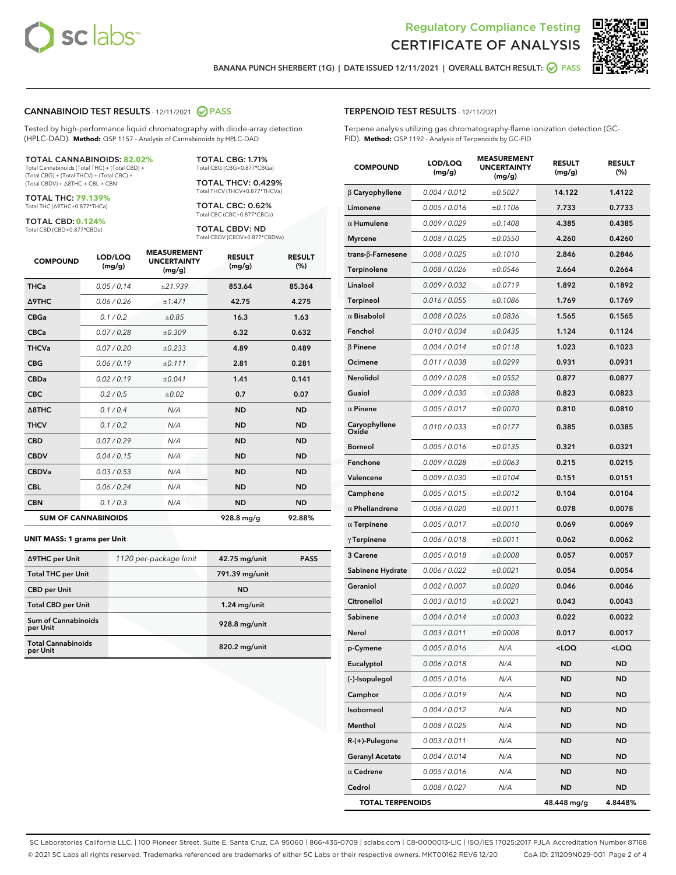



BANANA PUNCH SHERBERT (1G) | DATE ISSUED 12/11/2021 | OVERALL BATCH RESULT: @ PASS

#### CANNABINOID TEST RESULTS - 12/11/2021 2 PASS

Tested by high-performance liquid chromatography with diode-array detection (HPLC-DAD). **Method:** QSP 1157 - Analysis of Cannabinoids by HPLC-DAD

#### TOTAL CANNABINOIDS: **82.02%**

Total Cannabinoids (Total THC) + (Total CBD) + (Total CBG) + (Total THCV) + (Total CBC) + (Total CBDV) + ∆8THC + CBL + CBN

TOTAL THC: **79.139%** Total THC (∆9THC+0.877\*THCa)

TOTAL CBD: **0.124%** Total CBD (CBD+0.877\*CBDa)

TOTAL CBG: 1.71% Total CBG (CBG+0.877\*CBGa) TOTAL THCV: 0.429%

Total THCV (THCV+0.877\*THCVa) TOTAL CBC: 0.62% Total CBC (CBC+0.877\*CBCa)

TOTAL CBDV: ND Total CBDV (CBDV+0.877\*CBDVa)

| <b>COMPOUND</b>            | LOD/LOQ<br>(mg/g) | <b>MEASUREMENT</b><br><b>UNCERTAINTY</b><br>(mg/g) | <b>RESULT</b><br>(mg/g) | <b>RESULT</b><br>(% ) |
|----------------------------|-------------------|----------------------------------------------------|-------------------------|-----------------------|
| <b>THCa</b>                | 0.05/0.14         | ±21.939                                            | 853.64                  | 85.364                |
| <b>A9THC</b>               | 0.06 / 0.26       | ±1.471                                             | 42.75                   | 4.275                 |
| <b>CBGa</b>                | 0.1 / 0.2         | ±0.85                                              | 16.3                    | 1.63                  |
| <b>CBCa</b>                | 0.07/0.28         | ±0.309                                             | 6.32                    | 0.632                 |
| <b>THCVa</b>               | 0.07/0.20         | ±0.233                                             | 4.89                    | 0.489                 |
| <b>CBG</b>                 | 0.06/0.19         | ±0.111                                             | 2.81                    | 0.281                 |
| <b>CBDa</b>                | 0.02/0.19         | ±0.041                                             | 1.41                    | 0.141                 |
| <b>CBC</b>                 | 0.2 / 0.5         | ±0.02                                              | 0.7                     | 0.07                  |
| A8THC                      | 0.1/0.4           | N/A                                                | <b>ND</b>               | <b>ND</b>             |
| <b>THCV</b>                | 0.1/0.2           | N/A                                                | <b>ND</b>               | <b>ND</b>             |
| <b>CBD</b>                 | 0.07/0.29         | N/A                                                | <b>ND</b>               | <b>ND</b>             |
| <b>CBDV</b>                | 0.04 / 0.15       | N/A                                                | <b>ND</b>               | <b>ND</b>             |
| <b>CBDVa</b>               | 0.03/0.53         | N/A                                                | <b>ND</b>               | <b>ND</b>             |
| <b>CBL</b>                 | 0.06 / 0.24       | N/A                                                | <b>ND</b>               | <b>ND</b>             |
| <b>CBN</b>                 | 0.1/0.3           | N/A                                                | <b>ND</b>               | <b>ND</b>             |
| <b>SUM OF CANNABINOIDS</b> |                   |                                                    | 928.8 mg/g              | 92.88%                |

#### **UNIT MASS: 1 grams per Unit**

| ∆9THC per Unit                        | 1120 per-package limit | 42.75 mg/unit   | <b>PASS</b> |
|---------------------------------------|------------------------|-----------------|-------------|
| <b>Total THC per Unit</b>             |                        | 791.39 mg/unit  |             |
| <b>CBD</b> per Unit                   |                        | <b>ND</b>       |             |
| <b>Total CBD per Unit</b>             |                        | $1.24$ mg/unit  |             |
| Sum of Cannabinoids<br>per Unit       |                        | 928.8 mg/unit   |             |
| <b>Total Cannabinoids</b><br>per Unit |                        | $820.2$ mg/unit |             |

#### TERPENOID TEST RESULTS - 12/11/2021

Terpene analysis utilizing gas chromatography-flame ionization detection (GC-FID). **Method:** QSP 1192 - Analysis of Terpenoids by GC-FID

| <b>COMPOUND</b>           | LOD/LOQ<br>(mg/g) | <b>MEASUREMENT</b><br><b>UNCERTAINTY</b><br>(mg/g) | <b>RESULT</b><br>(mg/g) | <b>RESULT</b><br>(%) |
|---------------------------|-------------------|----------------------------------------------------|-------------------------|----------------------|
| $\beta$ Caryophyllene     | 0.004 / 0.012     | ±0.5027                                            | 14.122                  | 1.4122               |
| Limonene                  | 0.005 / 0.016     | ±0.1106                                            | 7.733                   | 0.7733               |
| $\alpha$ Humulene         | 0.009 / 0.029     | ±0.1408                                            | 4.385                   | 0.4385               |
| <b>Myrcene</b>            | 0.008 / 0.025     | ±0.0550                                            | 4.260                   | 0.4260               |
| trans- $\beta$ -Farnesene | 0.008 / 0.025     | ±0.1010                                            | 2.846                   | 0.2846               |
| Terpinolene               | 0.008 / 0.026     | ±0.0546                                            | 2.664                   | 0.2664               |
| Linalool                  | 0.009 / 0.032     | ±0.0719                                            | 1.892                   | 0.1892               |
| <b>Terpineol</b>          | 0.016 / 0.055     | ±0.1086                                            | 1.769                   | 0.1769               |
| $\alpha$ Bisabolol        | 0.008 / 0.026     | ±0.0836                                            | 1.565                   | 0.1565               |
| Fenchol                   | 0.010 / 0.034     | ±0.0435                                            | 1.124                   | 0.1124               |
| $\beta$ Pinene            | 0.004 / 0.014     | ±0.0118                                            | 1.023                   | 0.1023               |
| Ocimene                   | 0.011 / 0.038     | ±0.0299                                            | 0.931                   | 0.0931               |
| Nerolidol                 | 0.009 / 0.028     | ±0.0552                                            | 0.877                   | 0.0877               |
| Guaiol                    | 0.009 / 0.030     | ±0.0388                                            | 0.823                   | 0.0823               |
| $\alpha$ Pinene           | 0.005 / 0.017     | ±0.0070                                            | 0.810                   | 0.0810               |
| Caryophyllene<br>Oxide    | 0.010 / 0.033     | ±0.0177                                            | 0.385                   | 0.0385               |
| <b>Borneol</b>            | 0.005 / 0.016     | ±0.0135                                            | 0.321                   | 0.0321               |
| Fenchone                  | 0.009/0.028       | ±0.0063                                            | 0.215                   | 0.0215               |
| Valencene                 | 0.009 / 0.030     | ±0.0104                                            | 0.151                   | 0.0151               |
| Camphene                  | 0.005 / 0.015     | ±0.0012                                            | 0.104                   | 0.0104               |
| $\alpha$ Phellandrene     | 0.006 / 0.020     | ±0.0011                                            | 0.078                   | 0.0078               |
| $\alpha$ Terpinene        | 0.005 / 0.017     | ±0.0010                                            | 0.069                   | 0.0069               |
| $\gamma$ Terpinene        | 0.006 / 0.018     | ±0.0011                                            | 0.062                   | 0.0062               |
| 3 Carene                  | 0.005 / 0.018     | ±0.0008                                            | 0.057                   | 0.0057               |
| Sabinene Hydrate          | 0.006 / 0.022     | ±0.0021                                            | 0.054                   | 0.0054               |
| Geraniol                  | 0.002 / 0.007     | ±0.0020                                            | 0.046                   | 0.0046               |
| Citronellol               | 0.003/0.010       | ±0.0021                                            | 0.043                   | 0.0043               |
| Sabinene                  | 0.004 / 0.014     | ±0.0003                                            | 0.022                   | 0.0022               |
| Nerol                     | 0.003 / 0.011     | ±0.0008                                            | 0.017                   | 0.0017               |
| p-Cymene                  | 0.005 / 0.016     | N/A                                                | $\leq$ 00               | 100 <sub>1</sub>     |
| Eucalyptol                | 0.006 / 0.018     | N/A                                                | ND                      | ND                   |
| (-)-Isopulegol            | 0.005 / 0.016     | N/A                                                | <b>ND</b>               | ND                   |
| Camphor                   | 0.006 / 0.019     | N/A                                                | ND                      | <b>ND</b>            |
| Isoborneol                | 0.004 / 0.012     | N/A                                                | ND                      | ND                   |
| Menthol                   | 0.008 / 0.025     | N/A                                                | ND                      | ND                   |
| $R-(+)$ -Pulegone         | 0.003 / 0.011     | N/A                                                | ND                      | ND                   |
| <b>Geranyl Acetate</b>    | 0.004 / 0.014     | N/A                                                | ND                      | ND                   |
| $\alpha$ Cedrene          | 0.005 / 0.016     | N/A                                                | ND                      | ND                   |
| Cedrol                    | 0.008 / 0.027     | N/A                                                | ND                      | ND                   |
| <b>TOTAL TERPENOIDS</b>   |                   |                                                    | 48.448 mg/g             | 4.8448%              |

SC Laboratories California LLC. | 100 Pioneer Street, Suite E, Santa Cruz, CA 95060 | 866-435-0709 | sclabs.com | C8-0000013-LIC | ISO/IES 17025:2017 PJLA Accreditation Number 87168 © 2021 SC Labs all rights reserved. Trademarks referenced are trademarks of either SC Labs or their respective owners. MKT00162 REV6 12/20 CoA ID: 211209N029-001 Page 2 of 4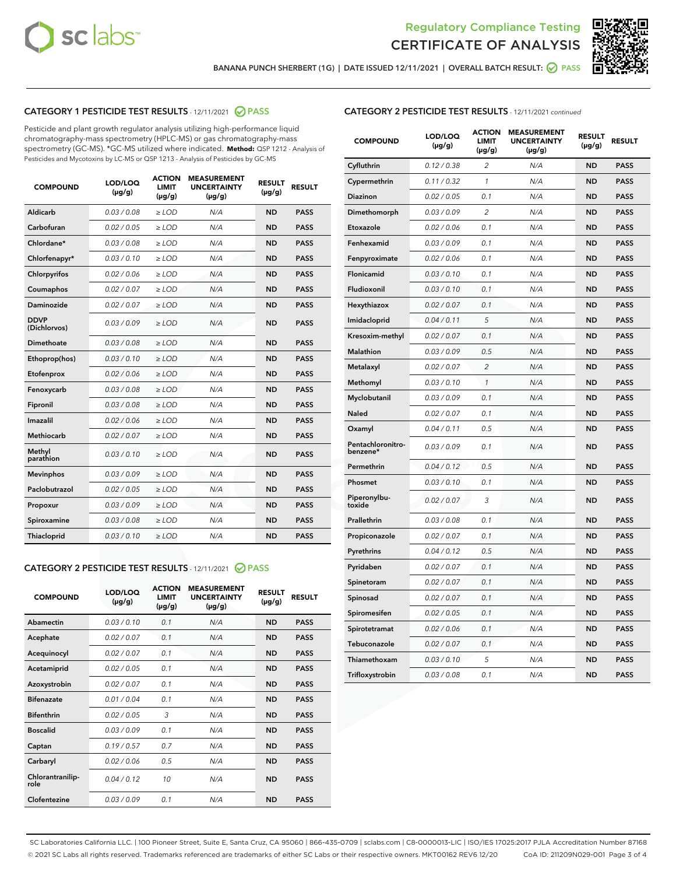



BANANA PUNCH SHERBERT (1G) | DATE ISSUED 12/11/2021 | OVERALL BATCH RESULT: @ PASS

# CATEGORY 1 PESTICIDE TEST RESULTS - 12/11/2021 2 PASS

Pesticide and plant growth regulator analysis utilizing high-performance liquid chromatography-mass spectrometry (HPLC-MS) or gas chromatography-mass spectrometry (GC-MS). \*GC-MS utilized where indicated. **Method:** QSP 1212 - Analysis of Pesticides and Mycotoxins by LC-MS or QSP 1213 - Analysis of Pesticides by GC-MS

| <b>COMPOUND</b>             | LOD/LOQ<br>$(\mu g/g)$ | <b>ACTION</b><br><b>LIMIT</b><br>$(\mu g/g)$ | <b>MEASUREMENT</b><br><b>UNCERTAINTY</b><br>$(\mu g/g)$ | <b>RESULT</b><br>$(\mu g/g)$ | <b>RESULT</b> |
|-----------------------------|------------------------|----------------------------------------------|---------------------------------------------------------|------------------------------|---------------|
| Aldicarb                    | 0.03/0.08              | $>$ LOD                                      | N/A                                                     | <b>ND</b>                    | <b>PASS</b>   |
| Carbofuran                  | 0.02 / 0.05            | $\ge$ LOD                                    | N/A                                                     | <b>ND</b>                    | <b>PASS</b>   |
| Chlordane*                  | 0.03 / 0.08            | $\ge$ LOD                                    | N/A                                                     | <b>ND</b>                    | <b>PASS</b>   |
| Chlorfenapyr*               | 0.03/0.10              | $\ge$ LOD                                    | N/A                                                     | <b>ND</b>                    | <b>PASS</b>   |
| Chlorpyrifos                | 0.02 / 0.06            | $\ge$ LOD                                    | N/A                                                     | <b>ND</b>                    | <b>PASS</b>   |
| Coumaphos                   | 0.02 / 0.07            | $\ge$ LOD                                    | N/A                                                     | <b>ND</b>                    | <b>PASS</b>   |
| Daminozide                  | 0.02/0.07              | $>$ LOD                                      | N/A                                                     | <b>ND</b>                    | <b>PASS</b>   |
| <b>DDVP</b><br>(Dichlorvos) | 0.03/0.09              | $\ge$ LOD                                    | N/A                                                     | <b>ND</b>                    | <b>PASS</b>   |
| <b>Dimethoate</b>           | 0.03/0.08              | $\ge$ LOD                                    | N/A                                                     | <b>ND</b>                    | <b>PASS</b>   |
| Ethoprop(hos)               | 0.03/0.10              | $\ge$ LOD                                    | N/A                                                     | <b>ND</b>                    | <b>PASS</b>   |
| Etofenprox                  | 0.02 / 0.06            | $\ge$ LOD                                    | N/A                                                     | <b>ND</b>                    | <b>PASS</b>   |
| Fenoxycarb                  | 0.03/0.08              | $\ge$ LOD                                    | N/A                                                     | <b>ND</b>                    | <b>PASS</b>   |
| Fipronil                    | 0.03/0.08              | $\ge$ LOD                                    | N/A                                                     | <b>ND</b>                    | <b>PASS</b>   |
| Imazalil                    | 0.02 / 0.06            | $>$ LOD                                      | N/A                                                     | <b>ND</b>                    | <b>PASS</b>   |
| Methiocarb                  | 0.02 / 0.07            | $>$ LOD                                      | N/A                                                     | <b>ND</b>                    | <b>PASS</b>   |
| Methyl<br>parathion         | 0.03/0.10              | $>$ LOD                                      | N/A                                                     | <b>ND</b>                    | <b>PASS</b>   |
| <b>Mevinphos</b>            | 0.03/0.09              | $\ge$ LOD                                    | N/A                                                     | <b>ND</b>                    | <b>PASS</b>   |
| Paclobutrazol               | 0.02 / 0.05            | $>$ LOD                                      | N/A                                                     | <b>ND</b>                    | <b>PASS</b>   |
| Propoxur                    | 0.03/0.09              | $\ge$ LOD                                    | N/A                                                     | <b>ND</b>                    | <b>PASS</b>   |
| Spiroxamine                 | 0.03 / 0.08            | $\ge$ LOD                                    | N/A                                                     | <b>ND</b>                    | <b>PASS</b>   |
| Thiacloprid                 | 0.03/0.10              | $\ge$ LOD                                    | N/A                                                     | <b>ND</b>                    | <b>PASS</b>   |

#### CATEGORY 2 PESTICIDE TEST RESULTS - 12/11/2021 @ PASS

| <b>COMPOUND</b>          | LOD/LOO<br>$(\mu g/g)$ | <b>ACTION</b><br>LIMIT<br>$(\mu g/g)$ | <b>MEASUREMENT</b><br><b>UNCERTAINTY</b><br>$(\mu g/g)$ | <b>RESULT</b><br>$(\mu g/g)$ | <b>RESULT</b> |  |
|--------------------------|------------------------|---------------------------------------|---------------------------------------------------------|------------------------------|---------------|--|
| Abamectin                | 0.03/0.10              | 0.1                                   | N/A                                                     | <b>ND</b>                    | <b>PASS</b>   |  |
| Acephate                 | 0.02/0.07              | 0.1                                   | N/A                                                     | <b>ND</b>                    | <b>PASS</b>   |  |
| Acequinocyl              | 0.02/0.07              | 0.1                                   | N/A                                                     | <b>ND</b>                    | <b>PASS</b>   |  |
| Acetamiprid              | 0.02 / 0.05            | 0.1                                   | N/A                                                     | <b>ND</b>                    | <b>PASS</b>   |  |
| Azoxystrobin             | 0.02/0.07              | 0.1                                   | N/A                                                     | <b>ND</b>                    | <b>PASS</b>   |  |
| <b>Bifenazate</b>        | 0.01 / 0.04            | 0.1                                   | N/A                                                     | <b>ND</b>                    | <b>PASS</b>   |  |
| <b>Bifenthrin</b>        | 0.02/0.05              | 3                                     | N/A                                                     | <b>ND</b>                    | <b>PASS</b>   |  |
| <b>Boscalid</b>          | 0.03/0.09              | 0.1                                   | N/A                                                     | <b>ND</b>                    | <b>PASS</b>   |  |
| Captan                   | 0.19/0.57              | 0.7                                   | N/A                                                     | <b>ND</b>                    | <b>PASS</b>   |  |
| Carbaryl                 | 0.02/0.06              | 0.5                                   | N/A                                                     | <b>ND</b>                    | <b>PASS</b>   |  |
| Chlorantranilip-<br>role | 0.04/0.12              | 10                                    | N/A                                                     | <b>ND</b>                    | <b>PASS</b>   |  |
| Clofentezine             | 0.03/0.09              | 0.1                                   | N/A                                                     | <b>ND</b>                    | <b>PASS</b>   |  |

# CATEGORY 2 PESTICIDE TEST RESULTS - 12/11/2021 continued

| <b>COMPOUND</b>               | LOD/LOQ<br>(µg/g) | <b>ACTION</b><br>LIMIT<br>$(\mu g/g)$ | <b>MEASUREMENT</b><br><b>UNCERTAINTY</b><br>$(\mu g/g)$ | <b>RESULT</b><br>$(\mu g/g)$ | <b>RESULT</b> |
|-------------------------------|-------------------|---------------------------------------|---------------------------------------------------------|------------------------------|---------------|
| Cyfluthrin                    | 0.12 / 0.38       | 2                                     | N/A                                                     | <b>ND</b>                    | <b>PASS</b>   |
| Cypermethrin                  | 0.11 / 0.32       | 1                                     | N/A                                                     | <b>ND</b>                    | <b>PASS</b>   |
| Diazinon                      | 0.02 / 0.05       | 0.1                                   | N/A                                                     | <b>ND</b>                    | <b>PASS</b>   |
| Dimethomorph                  | 0.03 / 0.09       | 2                                     | N/A                                                     | <b>ND</b>                    | <b>PASS</b>   |
| Etoxazole                     | 0.02 / 0.06       | 0.1                                   | N/A                                                     | <b>ND</b>                    | <b>PASS</b>   |
| Fenhexamid                    | 0.03 / 0.09       | 0.1                                   | N/A                                                     | ND                           | <b>PASS</b>   |
| Fenpyroximate                 | 0.02 / 0.06       | 0.1                                   | N/A                                                     | <b>ND</b>                    | <b>PASS</b>   |
| Flonicamid                    | 0.03 / 0.10       | 0.1                                   | N/A                                                     | <b>ND</b>                    | <b>PASS</b>   |
| Fludioxonil                   | 0.03 / 0.10       | 0.1                                   | N/A                                                     | <b>ND</b>                    | <b>PASS</b>   |
| Hexythiazox                   | 0.02 / 0.07       | 0.1                                   | N/A                                                     | <b>ND</b>                    | <b>PASS</b>   |
| Imidacloprid                  | 0.04 / 0.11       | 5                                     | N/A                                                     | <b>ND</b>                    | <b>PASS</b>   |
| Kresoxim-methyl               | 0.02 / 0.07       | 0.1                                   | N/A                                                     | <b>ND</b>                    | <b>PASS</b>   |
| Malathion                     | 0.03 / 0.09       | 0.5                                   | N/A                                                     | <b>ND</b>                    | <b>PASS</b>   |
| Metalaxyl                     | 0.02 / 0.07       | $\overline{c}$                        | N/A                                                     | <b>ND</b>                    | <b>PASS</b>   |
| Methomyl                      | 0.03 / 0.10       | $\mathbf{1}$                          | N/A                                                     | <b>ND</b>                    | <b>PASS</b>   |
| Myclobutanil                  | 0.03 / 0.09       | 0.1                                   | N/A                                                     | <b>ND</b>                    | <b>PASS</b>   |
| Naled                         | 0.02 / 0.07       | 0.1                                   | N/A                                                     | <b>ND</b>                    | <b>PASS</b>   |
| Oxamyl                        | 0.04 / 0.11       | 0.5                                   | N/A                                                     | <b>ND</b>                    | <b>PASS</b>   |
| Pentachloronitro-<br>benzene* | 0.03 / 0.09       | 0.1                                   | N/A                                                     | <b>ND</b>                    | <b>PASS</b>   |
| Permethrin                    | 0.04 / 0.12       | 0.5                                   | N/A                                                     | <b>ND</b>                    | <b>PASS</b>   |
| Phosmet                       | 0.03 / 0.10       | 0.1                                   | N/A                                                     | <b>ND</b>                    | <b>PASS</b>   |
| Piperonylbu-<br>toxide        | 0.02 / 0.07       | 3                                     | N/A                                                     | <b>ND</b>                    | <b>PASS</b>   |
| Prallethrin                   | 0.03 / 0.08       | 0.1                                   | N/A                                                     | <b>ND</b>                    | <b>PASS</b>   |
| Propiconazole                 | 0.02 / 0.07       | 0.1                                   | N/A                                                     | <b>ND</b>                    | <b>PASS</b>   |
| Pyrethrins                    | 0.04 / 0.12       | 0.5                                   | N/A                                                     | <b>ND</b>                    | <b>PASS</b>   |
| Pyridaben                     | 0.02 / 0.07       | 0.1                                   | N/A                                                     | <b>ND</b>                    | <b>PASS</b>   |
| Spinetoram                    | 0.02 / 0.07       | 0.1                                   | N/A                                                     | <b>ND</b>                    | <b>PASS</b>   |
| Spinosad                      | 0.02 / 0.07       | 0.1                                   | N/A                                                     | <b>ND</b>                    | <b>PASS</b>   |
| Spiromesifen                  | 0.02 / 0.05       | 0.1                                   | N/A                                                     | <b>ND</b>                    | <b>PASS</b>   |
| Spirotetramat                 | 0.02 / 0.06       | 0.1                                   | N/A                                                     | <b>ND</b>                    | <b>PASS</b>   |
| Tebuconazole                  | 0.02 / 0.07       | 0.1                                   | N/A                                                     | <b>ND</b>                    | <b>PASS</b>   |
| Thiamethoxam                  | 0.03 / 0.10       | 5                                     | N/A                                                     | <b>ND</b>                    | <b>PASS</b>   |
| Trifloxystrobin               | 0.03 / 0.08       | 0.1                                   | N/A                                                     | <b>ND</b>                    | <b>PASS</b>   |

SC Laboratories California LLC. | 100 Pioneer Street, Suite E, Santa Cruz, CA 95060 | 866-435-0709 | sclabs.com | C8-0000013-LIC | ISO/IES 17025:2017 PJLA Accreditation Number 87168 © 2021 SC Labs all rights reserved. Trademarks referenced are trademarks of either SC Labs or their respective owners. MKT00162 REV6 12/20 CoA ID: 211209N029-001 Page 3 of 4